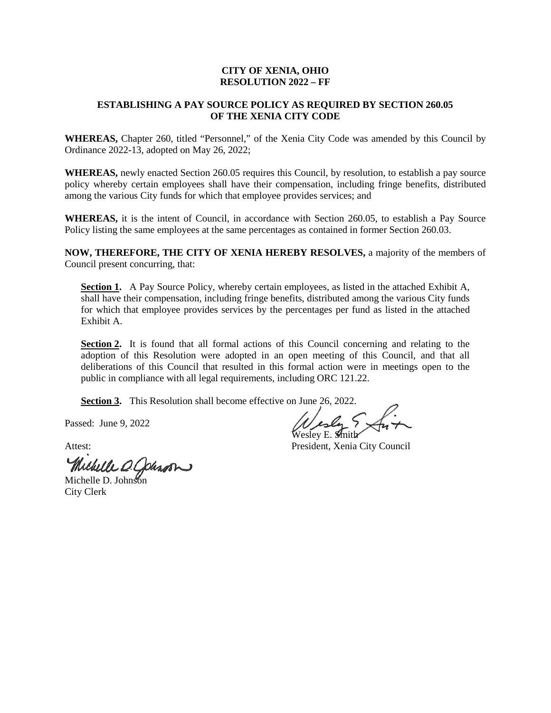## **CITY OF XENIA, OHIO RESOLUTION 2022 – FF**

## **ESTABLISHING A PAY SOURCE POLICY AS REQUIRED BY SECTION 260.05 OF THE XENIA CITY CODE**

**WHEREAS,** Chapter 260, titled "Personnel," of the Xenia City Code was amended by this Council by Ordinance 2022-13, adopted on May 26, 2022;

**WHEREAS,** newly enacted Section 260.05 requires this Council, by resolution, to establish a pay source policy whereby certain employees shall have their compensation, including fringe benefits, distributed among the various City funds for which that employee provides services; and

**WHEREAS,** it is the intent of Council, in accordance with Section 260.05, to establish a Pay Source Policy listing the same employees at the same percentages as contained in former Section 260.03.

**NOW, THEREFORE, THE CITY OF XENIA HEREBY RESOLVES,** a majority of the members of Council present concurring, that:

Section 1. A Pay Source Policy, whereby certain employees, as listed in the attached Exhibit A, shall have their compensation, including fringe benefits, distributed among the various City funds for which that employee provides services by the percentages per fund as listed in the attached Exhibit A.

**Section 2.** It is found that all formal actions of this Council concerning and relating to the adoption of this Resolution were adopted in an open meeting of this Council, and that all deliberations of this Council that resulted in this formal action were in meetings open to the public in compliance with all legal requirements, including ORC 121.22.

**Section 3.** This Resolution shall become effective on June 26, 2022.

Passed: June 9, 2022

Michelle D. Johnson

City Clerk

Wesley & Su

Attest: President, Xenia City Council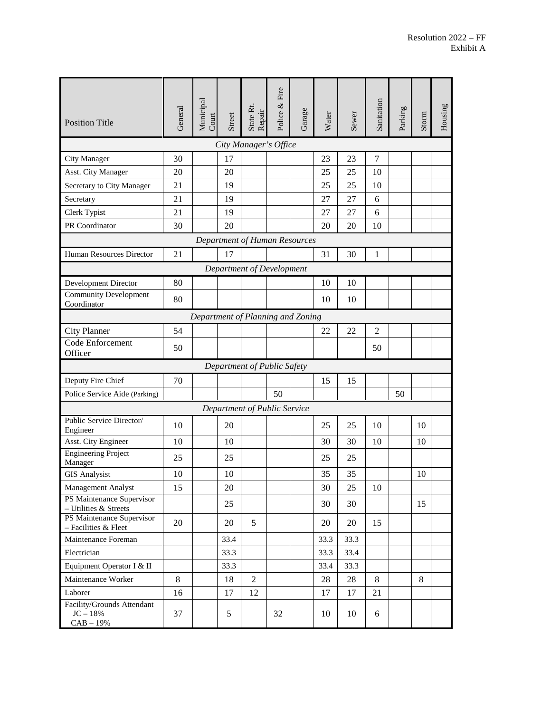| <b>Position Title</b>                                    | General | Municipal<br>Court | Street | State Rt.<br>Repair          | Police & Fire | Garage | Water | Sewer | Sanitation     | Parking | Storm | Housing |
|----------------------------------------------------------|---------|--------------------|--------|------------------------------|---------------|--------|-------|-------|----------------|---------|-------|---------|
| City Manager's Office                                    |         |                    |        |                              |               |        |       |       |                |         |       |         |
| City Manager                                             | 30      |                    | 17     |                              |               |        | 23    | 23    | 7              |         |       |         |
| Asst. City Manager                                       | 20      |                    | 20     |                              |               |        | 25    | 25    | 10             |         |       |         |
| Secretary to City Manager                                | 21      |                    | 19     |                              |               |        | 25    | 25    | 10             |         |       |         |
| Secretary                                                | 21      |                    | 19     |                              |               |        | 27    | 27    | 6              |         |       |         |
| Clerk Typist                                             | 21      |                    | 19     |                              |               |        | 27    | 27    | 6              |         |       |         |
| PR Coordinator                                           | 30      |                    | 20     |                              |               |        | 20    | 20    | 10             |         |       |         |
| Department of Human Resources                            |         |                    |        |                              |               |        |       |       |                |         |       |         |
| Human Resources Director                                 | 21      |                    | 17     |                              |               |        | 31    | 30    | 1              |         |       |         |
| Department of Development                                |         |                    |        |                              |               |        |       |       |                |         |       |         |
| Development Director                                     | 80      |                    |        |                              |               |        | 10    | 10    |                |         |       |         |
| <b>Community Development</b><br>Coordinator              | 80      |                    |        |                              |               |        | 10    | 10    |                |         |       |         |
| Department of Planning and Zoning                        |         |                    |        |                              |               |        |       |       |                |         |       |         |
| <b>City Planner</b>                                      | 54      |                    |        |                              |               |        | 22    | 22    | $\overline{2}$ |         |       |         |
| Code Enforcement<br>Officer                              | 50      |                    |        |                              |               |        |       |       | 50             |         |       |         |
| Department of Public Safety                              |         |                    |        |                              |               |        |       |       |                |         |       |         |
| Deputy Fire Chief                                        | 70      |                    |        |                              |               |        | 15    | 15    |                |         |       |         |
| Police Service Aide (Parking)                            |         |                    |        |                              | 50            |        |       |       |                | 50      |       |         |
|                                                          |         |                    |        | Department of Public Service |               |        |       |       |                |         |       |         |
| Public Service Director/                                 | 10      |                    | 20     |                              |               |        | 25    | 25    | 10             |         | 10    |         |
| Engineer<br>Asst. City Engineer                          | 10      |                    | 10     |                              |               |        | 30    | 30    | 10             |         | 10    |         |
| <b>Engineering Project</b><br>Manager                    | 25      |                    | 25     |                              |               |        | 25    | 25    |                |         |       |         |
| <b>GIS Analysist</b>                                     | 10      |                    | 10     |                              |               |        | 35    | 35    |                |         | 10    |         |
| Management Analyst                                       | 15      |                    | 20     |                              |               |        | 30    | 25    | 10             |         |       |         |
| PS Maintenance Supervisor<br>- Utilities & Streets       |         |                    | 25     |                              |               |        | 30    | 30    |                |         | 15    |         |
| PS Maintenance Supervisor<br>- Facilities & Fleet        | 20      |                    | 20     | 5                            |               |        | 20    | 20    | 15             |         |       |         |
| Maintenance Foreman                                      |         |                    | 33.4   |                              |               |        | 33.3  | 33.3  |                |         |       |         |
| Electrician                                              |         |                    | 33.3   |                              |               |        | 33.3  | 33.4  |                |         |       |         |
| Equipment Operator I & II                                |         |                    | 33.3   |                              |               |        | 33.4  | 33.3  |                |         |       |         |
| Maintenance Worker                                       | 8       |                    | 18     | $\overline{c}$               |               |        | 28    | 28    | 8              |         | 8     |         |
| Laborer                                                  | 16      |                    | 17     | 12                           |               |        | 17    | 17    | 21             |         |       |         |
| Facility/Grounds Attendant<br>$JC - 18\%$<br>$CAB - 19%$ | 37      |                    | 5      |                              | 32            |        | 10    | 10    | 6              |         |       |         |